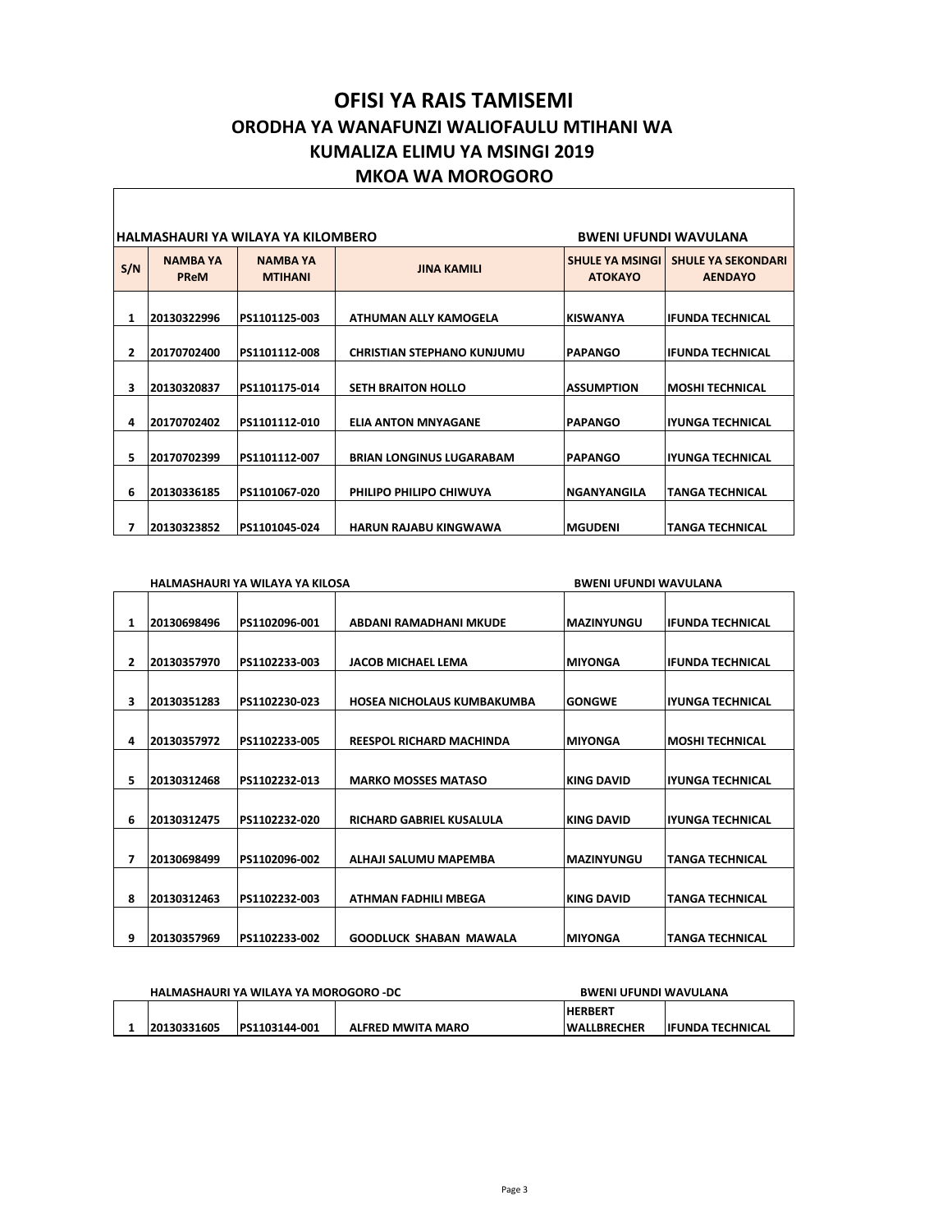## **OFISI YA RAIS TAMISEMI ORODHA YA WANAFUNZI WALIOFAULU MTIHANI WA KUMALIZA ELIMU YA MSINGI 2019 MKOA WA MOROGORO**

| HALMASHAURI YA WILAYA YA KILOMBERO<br><b>BWENI UFUNDI WAVULANA</b> |                         |                                   |                                   |                                          |                                             |  |
|--------------------------------------------------------------------|-------------------------|-----------------------------------|-----------------------------------|------------------------------------------|---------------------------------------------|--|
| S/N                                                                | <b>NAMBA YA</b><br>PReM | <b>NAMBA YA</b><br><b>MTIHANI</b> | <b>JINA KAMILI</b>                | <b>SHULE YA MSINGI</b><br><b>ATOKAYO</b> | <b>SHULE YA SEKONDARI</b><br><b>AENDAYO</b> |  |
| 1                                                                  | 20130322996             | PS1101125-003                     | ATHUMAN ALLY KAMOGELA             | <b>KISWANYA</b>                          | lifunda technical                           |  |
| 2                                                                  | 20170702400             | PS1101112-008                     | <b>CHRISTIAN STEPHANO KUNJUMU</b> | <b>PAPANGO</b>                           | lifunda technical                           |  |
| 3                                                                  | 20130320837             | PS1101175-014                     | <b>SETH BRAITON HOLLO</b>         | <b>ASSUMPTION</b>                        | <b>IMOSHI TECHNICAL</b>                     |  |
| 4                                                                  | 20170702402             | PS1101112-010                     | <b>ELIA ANTON MNYAGANE</b>        | <b>PAPANGO</b>                           | IYUNGA TECHNICAL                            |  |
| 5                                                                  | 20170702399             | PS1101112-007                     | <b>BRIAN LONGINUS LUGARABAM</b>   | <b>PAPANGO</b>                           | liyunga technical                           |  |
| 6                                                                  | 20130336185             | PS1101067-020                     | PHILIPO PHILIPO CHIWUYA           | <b>NGANYANGILA</b>                       | <b>TANGA TECHNICAL</b>                      |  |
| 7                                                                  | 20130323852             | PS1101045-024                     | <b>HARUN RAJABU KINGWAWA</b>      | <b>MGUDENI</b>                           | <b>TANGA TECHNICAL</b>                      |  |

|              |             | HALMASHAURI YA WILAYA YA KILOSA |                                 | <b>BWENI UFUNDI WAVULANA</b> |                         |  |  |
|--------------|-------------|---------------------------------|---------------------------------|------------------------------|-------------------------|--|--|
| 1            | 20130698496 | PS1102096-001                   | ABDANI RAMADHANI MKUDE          | <b>MAZINYUNGU</b>            | <b>IFUNDA TECHNICAL</b> |  |  |
| $\mathbf{2}$ | 20130357970 | PS1102233-003                   | <b>JACOB MICHAEL LEMA</b>       | <b>MIYONGA</b>               | <b>IFUNDA TECHNICAL</b> |  |  |
| 3            | 20130351283 | PS1102230-023                   | HOSEA NICHOLAUS KUMBAKUMBA      | <b>GONGWE</b>                | <b>IYUNGA TECHNICAL</b> |  |  |
| 4            | 20130357972 | PS1102233-005                   | <b>REESPOL RICHARD MACHINDA</b> | <b>MIYONGA</b>               | <b>MOSHI TECHNICAL</b>  |  |  |
| 5            | 20130312468 | PS1102232-013                   | <b>MARKO MOSSES MATASO</b>      | <b>KING DAVID</b>            | <b>IYUNGA TECHNICAL</b> |  |  |
| 6            | 20130312475 | PS1102232-020                   | RICHARD GABRIEL KUSALULA        | <b>KING DAVID</b>            | <b>IYUNGA TECHNICAL</b> |  |  |
| 7            | 20130698499 | PS1102096-002                   | ALHAJI SALUMU MAPEMBA           | <b>MAZINYUNGU</b>            | <b>TANGA TECHNICAL</b>  |  |  |
| 8            | 20130312463 | PS1102232-003                   | <b>ATHMAN FADHILI MBEGA</b>     | <b>KING DAVID</b>            | <b>TANGA TECHNICAL</b>  |  |  |
| 9            | 20130357969 | PS1102233-002                   | <b>GOODLUCK SHABAN MAWALA</b>   | <b>MIYONGA</b>               | <b>TANGA TECHNICAL</b>  |  |  |

|  |             | HALMASHAURI YA WILAYA YA MOROGORO -DC |                          | BWENI UFUNDI WAVULANA |                   |
|--|-------------|---------------------------------------|--------------------------|-----------------------|-------------------|
|  |             |                                       |                          | <b>HERBERT</b>        |                   |
|  | 20130331605 | PS1103144-001                         | <b>ALFRED MWITA MARO</b> | <b>IWALLBRECHER</b>   | lifunda technical |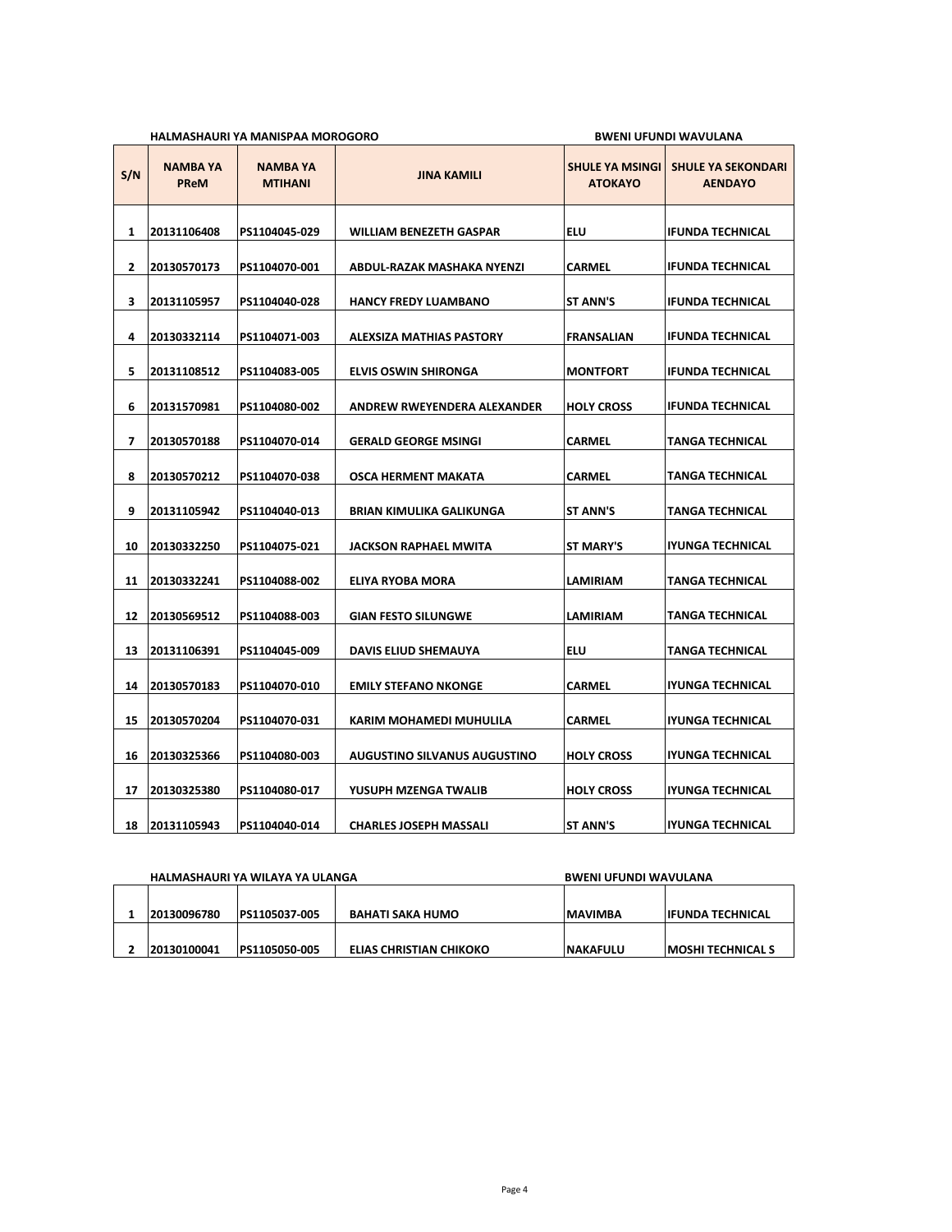|     |                                | HALMASHAURI YA MANISPAA MOROGORO  | <b>BWENI UFUNDI WAVULANA</b>        |                                          |                                             |
|-----|--------------------------------|-----------------------------------|-------------------------------------|------------------------------------------|---------------------------------------------|
| S/N | <b>NAMBA YA</b><br><b>PReM</b> | <b>NAMBA YA</b><br><b>MTIHANI</b> | <b>JINA KAMILI</b>                  | <b>SHULE YA MSINGI</b><br><b>ATOKAYO</b> | <b>SHULE YA SEKONDARI</b><br><b>AENDAYO</b> |
| 1   | 20131106408                    | PS1104045-029                     | <b>WILLIAM BENEZETH GASPAR</b>      | <b>ELU</b>                               | IFUNDA TECHNICAL                            |
| 2   | 20130570173                    | PS1104070-001                     | ABDUL-RAZAK MASHAKA NYENZI          | CARMEL                                   | <b>IFUNDA TECHNICAL</b>                     |
| 3   | 20131105957                    | PS1104040-028                     | <b>HANCY FREDY LUAMBANO</b>         | <b>ST ANN'S</b>                          | <b>IFUNDA TECHNICAL</b>                     |
| 4   | 20130332114                    | PS1104071-003                     | <b>ALEXSIZA MATHIAS PASTORY</b>     | FRANSALIAN                               | <b>IFUNDA TECHNICAL</b>                     |
| 5   | 20131108512                    | PS1104083-005                     | ELVIS OSWIN SHIRONGA                | <b>MONTFORT</b>                          | IFUNDA TECHNICAL                            |
| 6   | 20131570981                    | PS1104080-002                     | ANDREW RWEYENDERA ALEXANDER         | <b>HOLY CROSS</b>                        | IFUNDA TECHNICAL                            |
| 7   | 20130570188                    | PS1104070-014                     | <b>GERALD GEORGE MSINGI</b>         | CARMEL                                   | TANGA TECHNICAL                             |
| 8   | 20130570212                    | PS1104070-038                     | <b>OSCA HERMENT MAKATA</b>          | CARMEL                                   | TANGA TECHNICAL                             |
| 9   | 20131105942                    | PS1104040-013                     | <b>BRIAN KIMULIKA GALIKUNGA</b>     | <b>ST ANN'S</b>                          | TANGA TECHNICAL                             |
| 10  | 20130332250                    | PS1104075-021                     | <b>JACKSON RAPHAEL MWITA</b>        | ST MARY'S                                | IYUNGA TECHNICAL                            |
| 11  | 20130332241                    | PS1104088-002                     | ELIYA RYOBA MORA                    | LAMIRIAM                                 | TANGA TECHNICAL                             |
| 12  | 20130569512                    | PS1104088-003                     | <b>GIAN FESTO SILUNGWE</b>          | LAMIRIAM                                 | TANGA TECHNICAL                             |
| 13  | 20131106391                    | PS1104045-009                     | <b>DAVIS ELIUD SHEMAUYA</b>         | <b>ELU</b>                               | TANGA TECHNICAL                             |
| 14  | 20130570183                    | PS1104070-010                     | <b>EMILY STEFANO NKONGE</b>         | CARMEL                                   | IYUNGA TECHNICAL                            |
| 15  | 20130570204                    | PS1104070-031                     | KARIM MOHAMEDI MUHULILA             | CARMEL                                   | IYUNGA TECHNICAL                            |
| 16  | 20130325366                    | PS1104080-003                     | <b>AUGUSTINO SILVANUS AUGUSTINO</b> | <b>HOLY CROSS</b>                        | IYUNGA TECHNICAL                            |
| 17  | 20130325380                    | PS1104080-017                     | YUSUPH MZENGA TWALIB                | <b>HOLY CROSS</b>                        | IYUNGA TECHNICAL                            |
| 18  | 20131105943                    | PS1104040-014                     | <b>CHARLES JOSEPH MASSALI</b>       | <b>ST ANN'S</b>                          | <b>IYUNGA TECHNICAL</b>                     |

| HALMASHAURI YA WILAYA YA ULANGA |               |                         | <b>BWENI UFUNDI WAVULANA</b> |                           |  |
|---------------------------------|---------------|-------------------------|------------------------------|---------------------------|--|
|                                 |               |                         |                              |                           |  |
| 20130096780                     | PS1105037-005 | <b>BAHATI SAKA HUMO</b> | <b>IMAVIMBA</b>              | <b>IIFUNDA TECHNICAL</b>  |  |
| 20130100041                     | PS1105050-005 | ELIAS CHRISTIAN CHIKOKO | <b>NAKAFULU</b>              | <b>IMOSHI TECHNICAL S</b> |  |